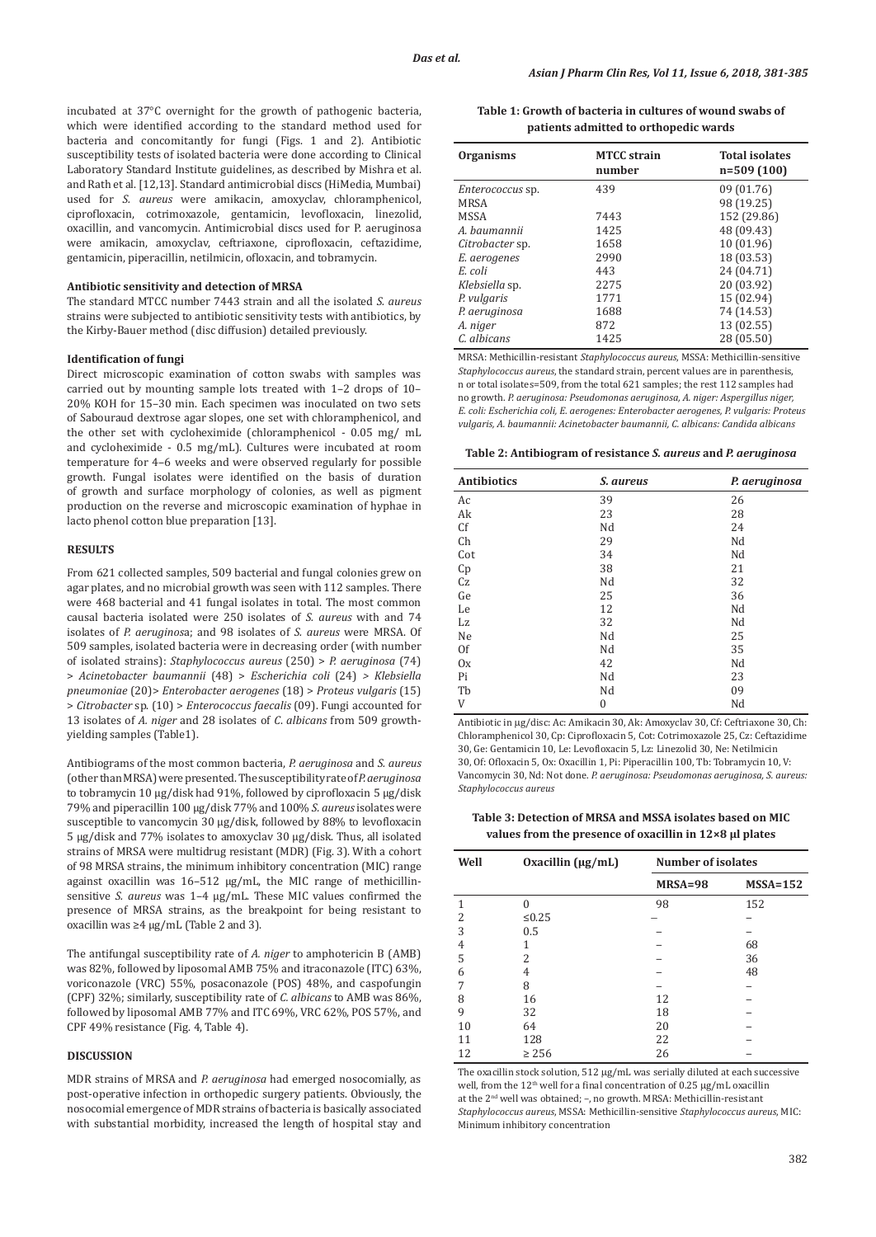incubated at 37°C overnight for the growth of pathogenic bacteria, which were identified according to the standard method used for bacteria and concomitantly for fungi (Figs. 1 and 2). Antibiotic susceptibility tests of isolated bacteria were done according to Clinical Laboratory Standard Institute guidelines, as described by Mishra et al. and Rath et al. [12,13]. Standard antimicrobial discs (HiMedia, Mumbai) used for *S. aureus* were amikacin, amoxyclav, chloramphenicol, ciprofloxacin, cotrimoxazole, gentamicin, levofloxacin, linezolid, oxacillin, and vancomycin. Antimicrobial discs used for P. aeruginosa were amikacin, amoxyclav, ceftriaxone, ciprofloxacin, ceftazidime, gentamicin, piperacillin, netilmicin, ofloxacin, and tobramycin.

#### **Antibiotic sensitivity and detection of MRSA**

The standard MTCC number 7443 strain and all the isolated *S. aureus*  strains were subjected to antibiotic sensitivity tests with antibiotics, by the Kirby-Bauer method (disc diffusion) detailed previously.

#### **Identification of fungi**

Direct microscopic examination of cotton swabs with samples was carried out by mounting sample lots treated with 1–2 drops of 10– 20% KOH for 15–30 min. Each specimen was inoculated on two sets of Sabouraud dextrose agar slopes, one set with chloramphenicol, and the other set with cycloheximide (chloramphenicol - 0.05 mg/ mL and cycloheximide - 0.5 mg/mL). Cultures were incubated at room temperature for 4–6 weeks and were observed regularly for possible growth. Fungal isolates were identified on the basis of duration of growth and surface morphology of colonies, as well as pigment production on the reverse and microscopic examination of hyphae in lacto phenol cotton blue preparation [13].

#### **RESULTS**

From 621 collected samples, 509 bacterial and fungal colonies grew on agar plates, and no microbial growth was seen with 112 samples. There were 468 bacterial and 41 fungal isolates in total. The most common causal bacteria isolated were 250 isolates of *S. aureus* with and 74 isolates of *P. aeruginos*a; and 98 isolates of *S. aureus* were MRSA. Of 509 samples, isolated bacteria were in decreasing order (with number of isolated strains): *Staphylococcus aureus* (250) > *P. aeruginosa* (74) > *Acinetobacter baumannii* (48) > *Escherichia coli* (24) *> Klebsiella pneumoniae* (20)> *Enterobacter aerogenes* (18) > *Proteus vulgaris* (15) > *Citrobacter* sp. (10) > *Enterococcus faecalis* (09). Fungi accounted for 13 isolates of *A. niger* and 28 isolates of *C*. *albicans* from 509 growthyielding samples (Table1).

Antibiograms of the most common bacteria, *P. aeruginosa* and *S. aureus*  (other than MRSA) were presented. The susceptibility rate of *P. aeruginosa* to tobramycin 10 µg/disk had 91%, followed by ciprofloxacin 5 µg/disk 79% and piperacillin 100 µg/disk 77% and 100% *S. aureus* isolates were susceptible to vancomycin 30 µg/disk, followed by 88% to levofloxacin 5 µg/disk and 77% isolates to amoxyclav 30 µg/disk. Thus, all isolated strains of MRSA were multidrug resistant (MDR) (Fig. 3). With a cohort of 98 MRSA strains, the minimum inhibitory concentration (MIC) range against oxacillin was 16–512 µg/mL, the MIC range of methicillinsensitive *S. aureus* was 1–4 µg/mL. These MIC values confirmed the presence of MRSA strains, as the breakpoint for being resistant to oxacillin was ≥4 µg/mL (Table 2 and 3).

The antifungal susceptibility rate of *A. niger* to amphotericin B (AMB) was 82%, followed by liposomal AMB 75% and itraconazole (ITC) 63%, voriconazole (VRC) 55%, posaconazole (POS) 48%, and caspofungin (CPF) 32%; similarly, susceptibility rate of *C. albicans* to AMB was 86%, followed by liposomal AMB 77% and ITC 69%, VRC 62%, POS 57%, and CPF 49% resistance (Fig. 4, Table 4).

### **DISCUSSION**

MDR strains of MRSA and *P. aeruginosa* had emerged nosocomially, as post-operative infection in orthopedic surgery patients. Obviously, the nosocomial emergence of MDR strains of bacteria is basically associated with substantial morbidity, increased the length of hospital stay and

**Table 1: Growth of bacteria in cultures of wound swabs of patients admitted to orthopedic wards**

| <b>Organisms</b>        | <b>MTCC</b> strain<br>number | <b>Total isolates</b><br>$n=509(100)$ |
|-------------------------|------------------------------|---------------------------------------|
| <i>Enterococcus</i> sp. | 439                          | 09 (01.76)                            |
| <b>MRSA</b>             |                              | 98 (19.25)                            |
| <b>MSSA</b>             | 7443                         | 152 (29.86)                           |
| A. baumannii            | 1425                         | 48 (09.43)                            |
| Citrobacter sp.         | 1658                         | 10 (01.96)                            |
| E. aerogenes            | 2990                         | 18 (03.53)                            |
| E. coli                 | 443                          | 24 (04.71)                            |
| Klebsiella sp.          | 2275                         | 20 (03.92)                            |
| P. vulgaris             | 1771                         | 15 (02.94)                            |
| P. aeruginosa           | 1688                         | 74 (14.53)                            |
| A. niger                | 872                          | 13 (02.55)                            |
| C. albicans             | 1425                         | 28 (05.50)                            |

MRSA: Methicillin-resistant *Staphylococcus aureus*, MSSA: Methicillin-sensitive *Staphylococcus aureus*, the standard strain, percent values are in parenthesis, n or total isolates=509, from the total 621 samples; the rest 112 samples had no growth. *P. aeruginosa: Pseudomonas aeruginosa, A. niger: Aspergillus niger, E. coli: Escherichia coli, E. aerogenes: Enterobacter aerogenes, P. vulgaris: Proteus vulgaris, A. baumannii: Acinetobacter baumannii, C. albicans: Candida albicans*

**Table 2: Antibiogram of resistance** *S. aureus* **and** *P. aeruginosa*

| <b>Antibiotics</b> | <i>S. aureus</i> | P. aeruginosa |
|--------------------|------------------|---------------|
| Ac                 | 39               | 26            |
| Ak                 | 23               | 28            |
| Cf                 | Nd               | 24            |
| Ch                 | 29               | Nd            |
| Cot                | 34               | Nd            |
| Cp                 | 38               | 21            |
| Cz                 | Nd               | 32            |
| Ge                 | 25               | 36            |
| Le                 | 12               | Nd            |
| Lz                 | 32               | Nd            |
| Ne                 | Nd               | 25            |
| 0f                 | Nd               | 35            |
| 0x                 | 42               | Nd            |
| Pi                 | Nd               | 23            |
| Tb                 | Nd               | 09            |
| V                  | $\mathbf{0}$     | Nd            |

Antibiotic in µg/disc: Ac: Amikacin 30, Ak: Amoxyclav 30, Cf: Ceftriaxone 30, Ch: Chloramphenicol 30, Cp: Ciprofloxacin 5, Cot: Cotrimoxazole 25, Cz: Ceftazidime 30, Ge: Gentamicin 10, Le: Levofloxacin 5, Lz: Linezolid 30, Ne: Netilmicin 30, Of: Ofloxacin 5, Ox: Oxacillin 1, Pi: Piperacillin 100, Tb: Tobramycin 10, V: Vancomycin 30, Nd: Not done. *P. aeruginosa: Pseudomonas aeruginosa, S. aureus: Staphylococcus aureus*

**Table 3: Detection of MRSA and MSSA isolates based on MIC values from the presence of oxacillin in 12×8 µl plates**

| Well           | Oxacillin $(\mu g/mL)$ | <b>Number of isolates</b> |            |
|----------------|------------------------|---------------------------|------------|
|                |                        | $MRSA = 98$               | $MSSA=152$ |
| 1              | 0                      | 98                        | 152        |
| $\overline{2}$ | ≤0.25                  |                           |            |
| 3              | 0.5                    |                           |            |
| $\overline{4}$ |                        |                           | 68         |
| 5              | 2                      |                           | 36         |
| 6              | 4                      |                           | 48         |
| 7              | 8                      |                           |            |
| 8              | 16                     | 12                        |            |
| 9              | 32                     | 18                        |            |
| 10             | 64                     | 20                        |            |
| 11             | 128                    | 22                        |            |
| 12             | $\geq$ 256             | 26                        |            |

The oxacillin stock solution, 512 µg/mL was serially diluted at each successive well, from the 12<sup>th</sup> well for a final concentration of 0.25 µg/mL oxacillin at the 2nd well was obtained; –, no growth. MRSA: Methicillin-resistant *Staphylococcus aureus*, MSSA: Methicillin-sensitive *Staphylococcus aureus*, MIC: Minimum inhibitory concentration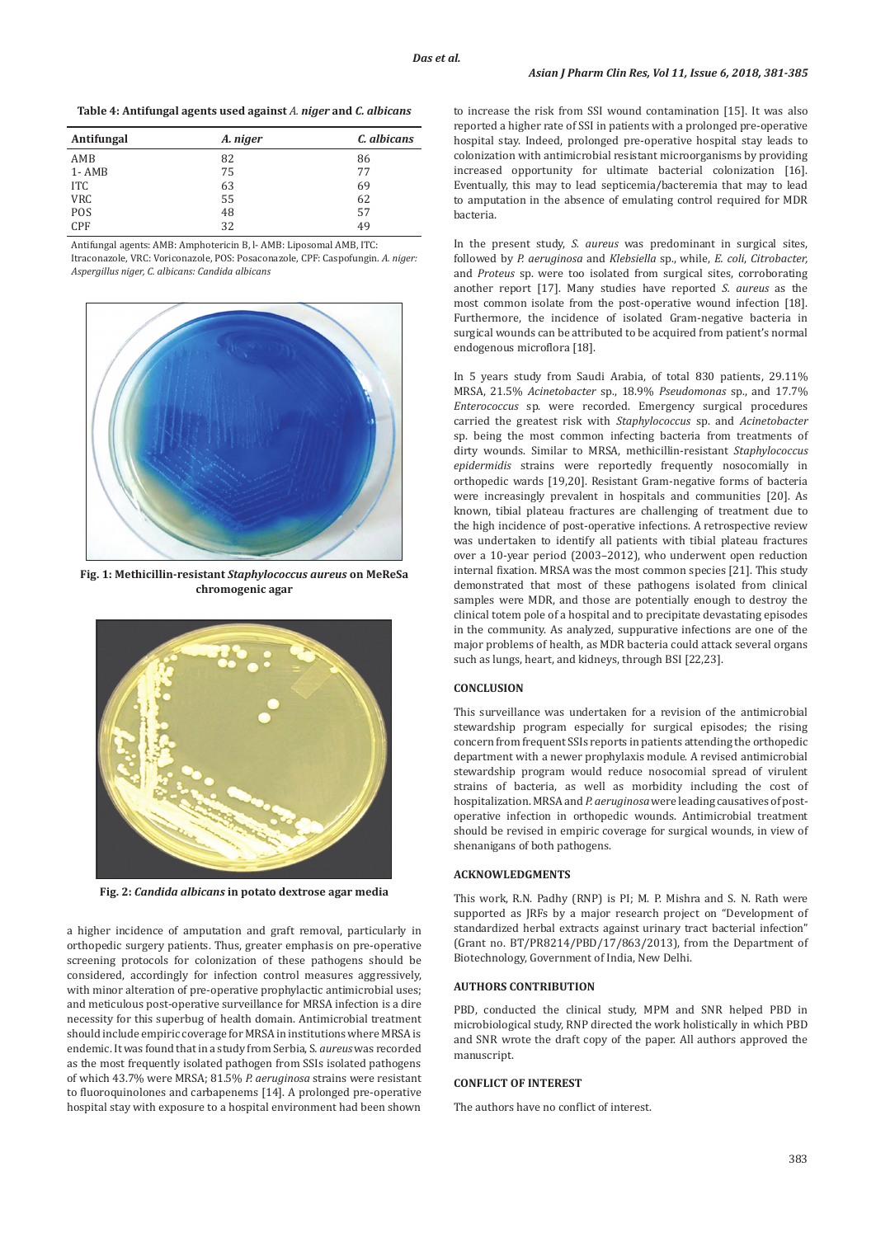**Table 4: Antifungal agents used against** *A. niger* **and** *C. albicans*

| Antifungal | A. niger | C. albicans |
|------------|----------|-------------|
| AMB        | 82       | 86          |
| $1 - AMB$  | 75       | 77          |
| ITC        | 63       | 69          |
| <b>VRC</b> | 55       | 62          |
| POS        | 48       | 57          |
| <b>CPF</b> | 32       | 49          |

Antifungal agents: AMB: Amphotericin B, l- AMB: Liposomal AMB, ITC: Itraconazole, VRC: Voriconazole, POS: Posaconazole, CPF: Caspofungin. *A. niger: Aspergillus niger, C. albicans: Candida albicans*



**Fig. 1: Methicillin-resistant** *Staphylococcus aureus* **on MeReSa chromogenic agar**



**Fig. 2:** *Candida albicans* **in potato dextrose agar media**

a higher incidence of amputation and graft removal, particularly in orthopedic surgery patients. Thus, greater emphasis on pre-operative screening protocols for colonization of these pathogens should be considered, accordingly for infection control measures aggressively, with minor alteration of pre-operative prophylactic antimicrobial uses; and meticulous post-operative surveillance for MRSA infection is a dire necessity for this superbug of health domain. Antimicrobial treatment should include empiric coverage for MRSA in institutions where MRSA is endemic. It was found that in a study from Serbia, S*. aureus* was recorded as the most frequently isolated pathogen from SSIs isolated pathogens of which 43.7% were MRSA; 81.5% *P. aeruginosa* strains were resistant to fluoroquinolones and carbapenems [14]. A prolonged pre-operative hospital stay with exposure to a hospital environment had been shown to increase the risk from SSI wound contamination [15]. It was also reported a higher rate of SSI in patients with a prolonged pre-operative hospital stay. Indeed, prolonged pre-operative hospital stay leads to colonization with antimicrobial resistant microorganisms by providing increased opportunity for ultimate bacterial colonization [16]. Eventually, this may to lead septicemia/bacteremia that may to lead to amputation in the absence of emulating control required for MDR bacteria.

In the present study, *S. aureus* was predominant in surgical sites, followed by *P. aeruginosa* and *Klebsiella* sp., while, *E. coli*, *Citrobacter,* and *Proteus* sp. were too isolated from surgical sites, corroborating another report [17]. Many studies have reported *S. aureus* as the most common isolate from the post-operative wound infection [18]. Furthermore, the incidence of isolated Gram-negative bacteria in surgical wounds can be attributed to be acquired from patient's normal endogenous microflora [18].

In 5 years study from Saudi Arabia, of total 830 patients, 29.11% MRSA, 21.5% *Acinetobacter* sp., 18.9% *Pseudomonas* sp., and 17.7% *Enterococcus* sp. were recorded. Emergency surgical procedures carried the greatest risk with *Staphylococcus* sp. and *Acinetobacter*  sp. being the most common infecting bacteria from treatments of dirty wounds. Similar to MRSA, methicillin-resistant *Staphylococcus epidermidis* strains were reportedly frequently nosocomially in orthopedic wards [19,20]. Resistant Gram-negative forms of bacteria were increasingly prevalent in hospitals and communities [20]. As known, tibial plateau fractures are challenging of treatment due to the high incidence of post-operative infections. A retrospective review was undertaken to identify all patients with tibial plateau fractures over a 10-year period (2003–2012), who underwent open reduction internal fixation. MRSA was the most common species [21]. This study demonstrated that most of these pathogens isolated from clinical samples were MDR, and those are potentially enough to destroy the clinical totem pole of a hospital and to precipitate devastating episodes in the community. As analyzed, suppurative infections are one of the major problems of health, as MDR bacteria could attack several organs such as lungs, heart, and kidneys, through BSI [22,23].

## **CONCLUSION**

This surveillance was undertaken for a revision of the antimicrobial stewardship program especially for surgical episodes; the rising concern from frequent SSIs reports in patients attending the orthopedic department with a newer prophylaxis module. A revised antimicrobial stewardship program would reduce nosocomial spread of virulent strains of bacteria, as well as morbidity including the cost of hospitalization. MRSA and *P. aeruginosa* were leading causatives of postoperative infection in orthopedic wounds. Antimicrobial treatment should be revised in empiric coverage for surgical wounds, in view of shenanigans of both pathogens.

# **ACKNOWLEDGMENTS**

This work, R.N. Padhy (RNP) is PI; M. P. Mishra and S. N. Rath were supported as JRFs by a major research project on "Development of standardized herbal extracts against urinary tract bacterial infection" (Grant no. BT/PR8214/PBD/17/863/2013), from the Department of Biotechnology, Government of India, New Delhi.

# **AUTHORS CONTRIBUTION**

PBD, conducted the clinical study, MPM and SNR helped PBD in microbiological study, RNP directed the work holistically in which PBD and SNR wrote the draft copy of the paper. All authors approved the manuscript.

#### **CONFLICT OF INTEREST**

The authors have no conflict of interest.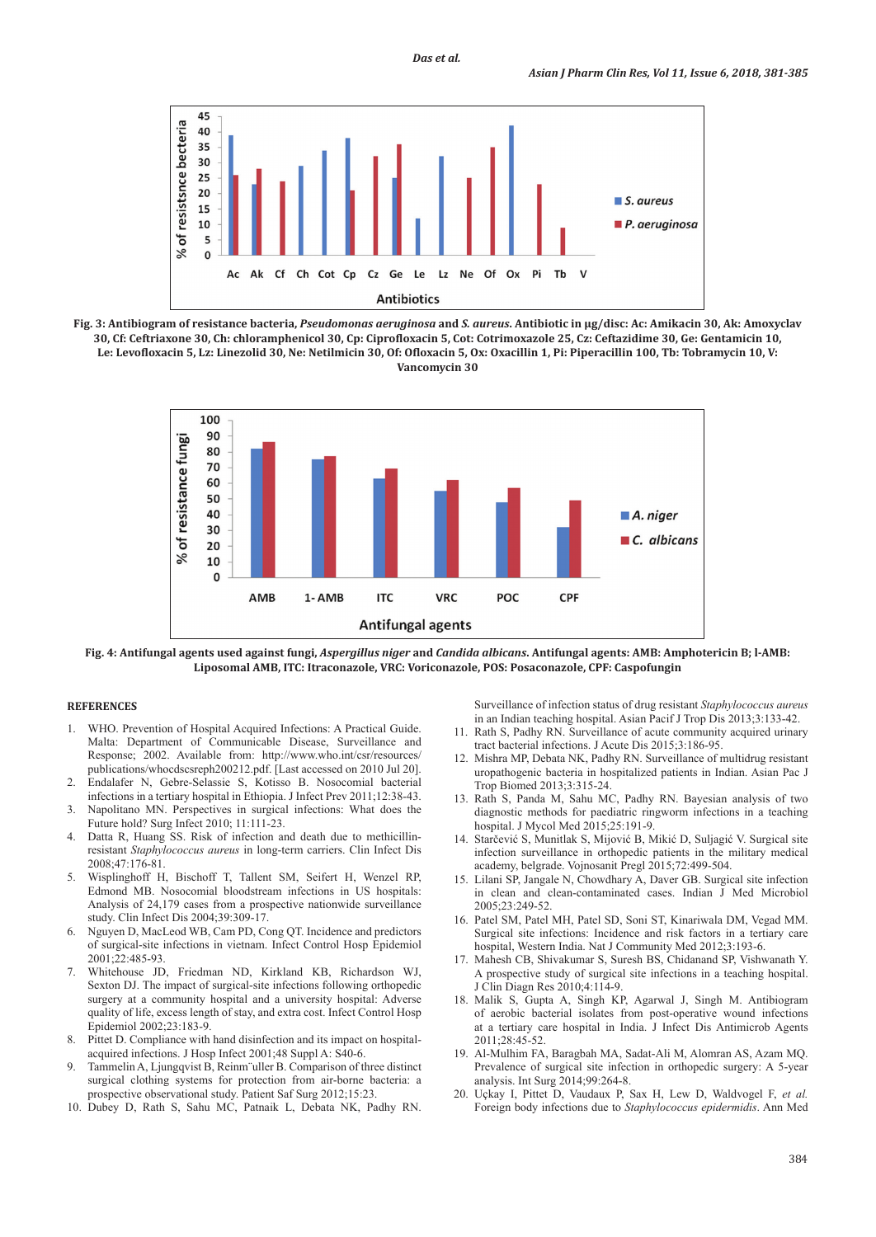





**Fig. 4: Antifungal agents used against fungi,** *Aspergillus niger* **and** *Candida albicans***. Antifungal agents: AMB: Amphotericin B; l-AMB: Liposomal AMB, ITC: Itraconazole, VRC: Voriconazole, POS: Posaconazole, CPF: Caspofungin**

# **REFERENCES**

- 1. WHO. Prevention of Hospital Acquired Infections: A Practical Guide. Malta: Department of Communicable Disease, Surveillance and Response; 2002. Available from: http://www.who.int/csr/resources/ publications/whocdscsreph200212.pdf. [Last accessed on 2010 Jul 20].
- 2. Endalafer N, Gebre-Selassie S, Kotisso B. Nosocomial bacterial infections in a tertiary hospital in Ethiopia. J Infect Prev 2011;12:38-43.
- 3. Napolitano MN. Perspectives in surgical infections: What does the Future hold? Surg Infect 2010; 11:111-23.
- Datta R, Huang SS. Risk of infection and death due to methicillinresistant *Staphylococcus aureus* in long-term carriers. Clin Infect Dis 2008;47:176-81.
- 5. Wisplinghoff H, Bischoff T, Tallent SM, Seifert H, Wenzel RP, Edmond MB. Nosocomial bloodstream infections in US hospitals: Analysis of 24,179 cases from a prospective nationwide surveillance study. Clin Infect Dis 2004;39:309-17.
- Nguyen D, MacLeod WB, Cam PD, Cong QT. Incidence and predictors of surgical-site infections in vietnam. Infect Control Hosp Epidemiol 2001;22:485-93.
- 7. Whitehouse JD, Friedman ND, Kirkland KB, Richardson WJ, Sexton DJ. The impact of surgical-site infections following orthopedic surgery at a community hospital and a university hospital: Adverse quality of life, excess length of stay, and extra cost. Infect Control Hosp Epidemiol 2002;23:183-9.
- 8. Pittet D. Compliance with hand disinfection and its impact on hospitalacquired infections. J Hosp Infect 2001;48 Suppl A: S40-6.
- 9. Tammelin A, Ljungqvist B, Reinm¨uller B. Comparison of three distinct surgical clothing systems for protection from air-borne bacteria: a prospective observational study. Patient Saf Surg 2012;15:23.
- 10. Dubey D, Rath S, Sahu MC, Patnaik L, Debata NK, Padhy RN.

Surveillance of infection status of drug resistant *Staphylococcus aureus* in an Indian teaching hospital. Asian Pacif J Trop Dis 2013;3:133-42.

- 11. Rath S, Padhy RN. Surveillance of acute community acquired urinary tract bacterial infections. J Acute Dis 2015;3:186-95.
- 12. Mishra MP, Debata NK, Padhy RN. Surveillance of multidrug resistant uropathogenic bacteria in hospitalized patients in Indian. Asian Pac J Trop Biomed 2013;3:315-24.
- 13. Rath S, Panda M, Sahu MC, Padhy RN. Bayesian analysis of two diagnostic methods for paediatric ringworm infections in a teaching hospital. J Mycol Med 2015;25:191-9.
- 14. Starčević S, Munitlak S, Mijović B, Mikić D, Suljagić V. Surgical site infection surveillance in orthopedic patients in the military medical academy, belgrade. Vojnosanit Pregl 2015;72:499-504.
- 15. Lilani SP, Jangale N, Chowdhary A, Daver GB. Surgical site infection in clean and clean-contaminated cases. Indian J Med Microbiol 2005;23:249-52.
- 16. Patel SM, Patel MH, Patel SD, Soni ST, Kinariwala DM, Vegad MM. Surgical site infections: Incidence and risk factors in a tertiary care hospital, Western India. Nat J Community Med 2012;3:193-6.
- 17. Mahesh CB, Shivakumar S, Suresh BS, Chidanand SP, Vishwanath Y. A prospective study of surgical site infections in a teaching hospital. J Clin Diagn Res 2010;4:114-9.
- 18. Malik S, Gupta A, Singh KP, Agarwal J, Singh M. Antibiogram of aerobic bacterial isolates from post-operative wound infections at a tertiary care hospital in India. J Infect Dis Antimicrob Agents  $2011 \cdot 28 \cdot 45 - 52$
- 19. Al-Mulhim FA, Baragbah MA, Sadat-Ali M, Alomran AS, Azam MQ. Prevalence of surgical site infection in orthopedic surgery: A 5-year analysis. Int Surg 2014;99:264-8.
- 20. Uçkay I, Pittet D, Vaudaux P, Sax H, Lew D, Waldvogel F, *et al.* Foreign body infections due to *Staphylococcus epidermidis*. Ann Med